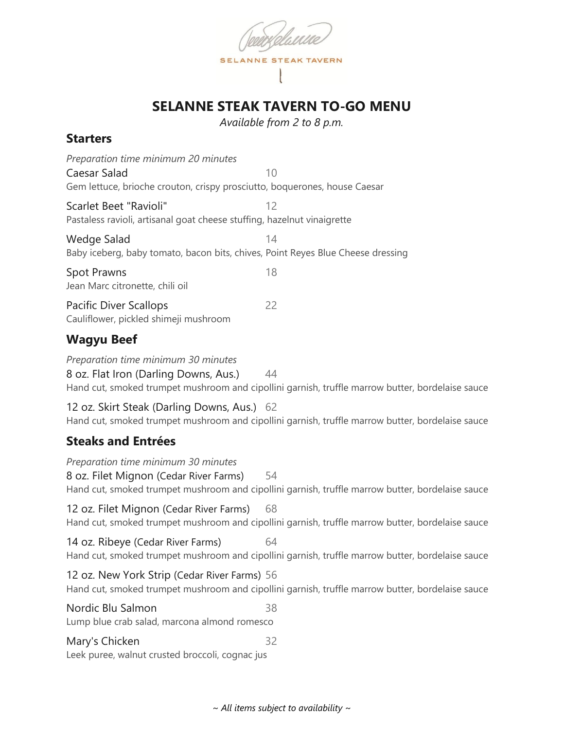

# **SELANNE STEAK TAVERN TO-GO MENU**

*Available from 2 to 8 p.m.*

### **Starters**

| Preparation time minimum 20 minutes                                             |    |  |
|---------------------------------------------------------------------------------|----|--|
| Caesar Salad                                                                    | 10 |  |
| Gem lettuce, brioche crouton, crispy prosciutto, boquerones, house Caesar       |    |  |
| Scarlet Beet "Ravioli"                                                          | 12 |  |
| Pastaless ravioli, artisanal goat cheese stuffing, hazelnut vinaigrette         |    |  |
| Wedge Salad                                                                     | 14 |  |
| Baby iceberg, baby tomato, bacon bits, chives, Point Reyes Blue Cheese dressing |    |  |
| Spot Prawns                                                                     | 18 |  |
| Jean Marc citronette, chili oil                                                 |    |  |
| <b>Pacific Diver Scallops</b>                                                   | 22 |  |
| Cauliflower, pickled shimeji mushroom                                           |    |  |
|                                                                                 |    |  |

### **Wagyu Beef**

*Preparation time minimum 30 minutes* 8 oz. Flat Iron (Darling Downs, Aus.) 44 Hand cut, smoked trumpet mushroom and cipollini garnish, truffle marrow butter, bordelaise sauce

12 oz. Skirt Steak (Darling Downs, Aus.) 62 Hand cut, smoked trumpet mushroom and cipollini garnish, truffle marrow butter, bordelaise sauce

# **Steaks and Entrées**

*Preparation time minimum 30 minutes* 8 oz. Filet Mignon (Cedar River Farms) 54 Hand cut, smoked trumpet mushroom and cipollini garnish, truffle marrow butter, bordelaise sauce

12 oz. Filet Mignon (Cedar River Farms) 68 Hand cut, smoked trumpet mushroom and cipollini garnish, truffle marrow butter, bordelaise sauce

14 oz. Ribeye (Cedar River Farms) 64 Hand cut, smoked trumpet mushroom and cipollini garnish, truffle marrow butter, bordelaise sauce

12 oz. New York Strip (Cedar River Farms) 56 Hand cut, smoked trumpet mushroom and cipollini garnish, truffle marrow butter, bordelaise sauce

Nordic Blu Salmon 38 Lump blue crab salad, marcona almond romesco

Mary's Chicken 32 Leek puree, walnut crusted broccoli, cognac jus

*~ All items subject to availability ~*